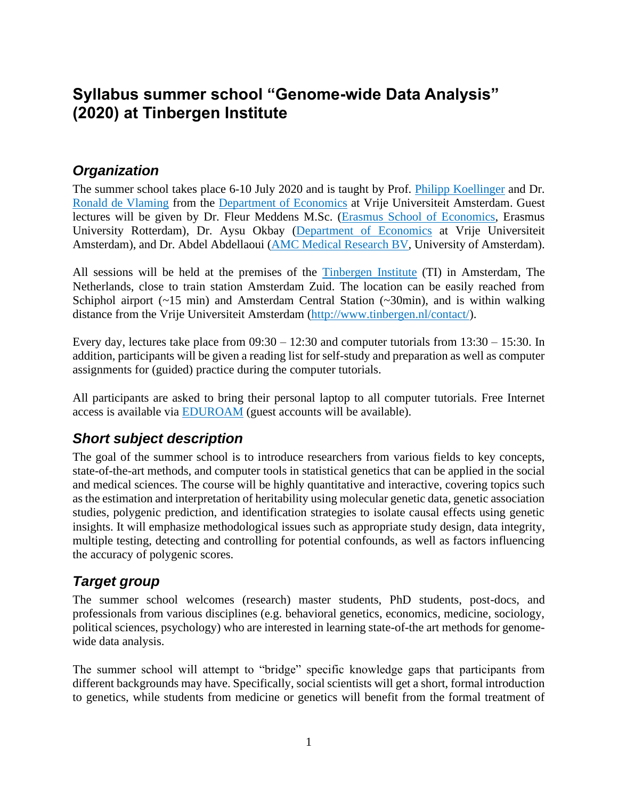# **Syllabus summer school "Genome-wide Data Analysis" (2020) at Tinbergen Institute**

### *Organization*

The summer school takes place 6-10 July 2020 and is taught by Prof. [Philipp Koellinger](http://www.philipp-koellinger.com/) and Dr. [Ronald de Vlaming](https://www.devlaming.eu/) from the [Department of Economics](https://sbe.vu.nl/en/departments-and-institutes/economics/index.aspx) at Vrije Universiteit Amsterdam. Guest lectures will be given by Dr. Fleur Meddens M.Sc. [\(Erasmus School of Economics,](https://www.eur.nl/en/ese/) Erasmus University Rotterdam), Dr. Aysu Okbay [\(Department of Economics](https://sbe.vu.nl/en/departments-and-institutes/economics/index.aspx) at Vrije Universiteit Amsterdam), and Dr. Abdel Abdellaoui [\(AMC Medical Research BV,](https://www.amc.nl/web/home.htm) University of Amsterdam).

All sessions will be held at the premises of the [Tinbergen Institute](http://www.tinbergen.nl/) (TI) in Amsterdam, The Netherlands, close to train station Amsterdam Zuid. The location can be easily reached from Schiphol airport (~15 min) and Amsterdam Central Station (~30min), and is within walking distance from the Vrije Universiteit Amsterdam [\(http://www.tinbergen.nl/contact/\)](http://www.tinbergen.nl/contact/).

Every day, lectures take place from 09:30 – 12:30 and computer tutorials from 13:30 – 15:30. In addition, participants will be given a reading list for self-study and preparation as well as computer assignments for (guided) practice during the computer tutorials.

All participants are asked to bring their personal laptop to all computer tutorials. Free Internet access is available via [EDUROAM](https://www.eduroam.org/) (guest accounts will be available).

### *Short subject description*

The goal of the summer school is to introduce researchers from various fields to key concepts, state-of-the-art methods, and computer tools in statistical genetics that can be applied in the social and medical sciences. The course will be highly quantitative and interactive, covering topics such as the estimation and interpretation of heritability using molecular genetic data, genetic association studies, polygenic prediction, and identification strategies to isolate causal effects using genetic insights. It will emphasize methodological issues such as appropriate study design, data integrity, multiple testing, detecting and controlling for potential confounds, as well as factors influencing the accuracy of polygenic scores.

### *Target group*

The summer school welcomes (research) master students, PhD students, post-docs, and professionals from various disciplines (e.g. behavioral genetics, economics, medicine, sociology, political sciences, psychology) who are interested in learning state-of-the art methods for genomewide data analysis.

The summer school will attempt to "bridge" specific knowledge gaps that participants from different backgrounds may have. Specifically, social scientists will get a short, formal introduction to genetics, while students from medicine or genetics will benefit from the formal treatment of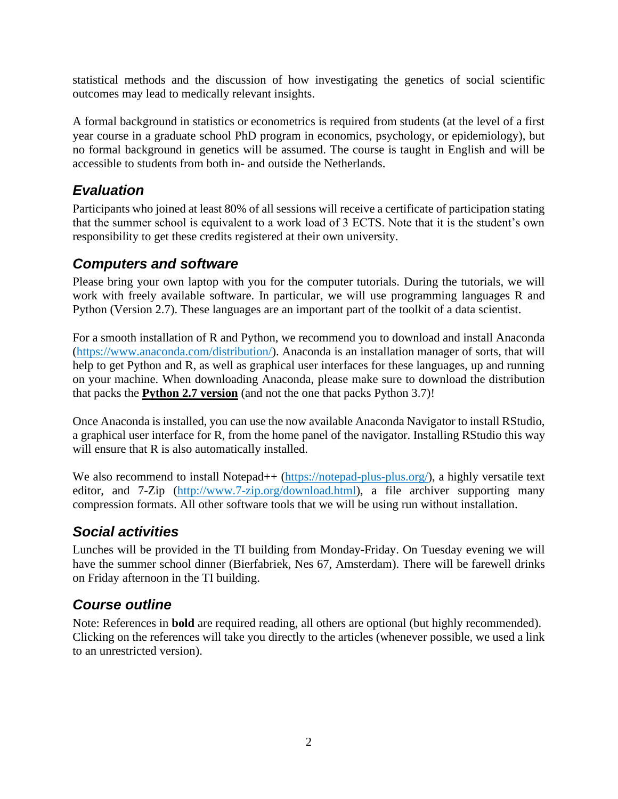statistical methods and the discussion of how investigating the genetics of social scientific outcomes may lead to medically relevant insights.

A formal background in statistics or econometrics is required from students (at the level of a first year course in a graduate school PhD program in economics, psychology, or epidemiology), but no formal background in genetics will be assumed. The course is taught in English and will be accessible to students from both in- and outside the Netherlands.

### *Evaluation*

Participants who joined at least 80% of all sessions will receive a certificate of participation stating that the summer school is equivalent to a work load of 3 ECTS. Note that it is the student's own responsibility to get these credits registered at their own university.

### *Computers and software*

Please bring your own laptop with you for the computer tutorials. During the tutorials, we will work with freely available software. In particular, we will use programming languages R and Python (Version 2.7). These languages are an important part of the toolkit of a data scientist.

For a smooth installation of R and Python, we recommend you to download and install Anaconda [\(https://www.anaconda.com/distribution/\)](https://www.anaconda.com/distribution/). Anaconda is an installation manager of sorts, that will help to get Python and R, as well as graphical user interfaces for these languages, up and running on your machine. When downloading Anaconda, please make sure to download the distribution that packs the **Python 2.7 version** (and not the one that packs Python 3.7)!

Once Anaconda is installed, you can use the now available Anaconda Navigator to install RStudio, a graphical user interface for R, from the home panel of the navigator. Installing RStudio this way will ensure that R is also automatically installed.

We also recommend to install Notepad++ [\(https://notepad-plus-plus.org/\)](https://notepad-plus-plus.org/), a highly versatile text editor, and 7-Zip [\(http://www.7-zip.org/download.html\)](http://www.7-zip.org/download.html), a file archiver supporting many compression formats. All other software tools that we will be using run without installation.

### *Social activities*

Lunches will be provided in the TI building from Monday-Friday. On Tuesday evening we will have the summer school dinner (Bierfabriek, Nes 67, Amsterdam). There will be farewell drinks on Friday afternoon in the TI building.

## *Course outline*

Note: References in **bold** are required reading, all others are optional (but highly recommended). Clicking on the references will take you directly to the articles (whenever possible, we used a link to an unrestricted version).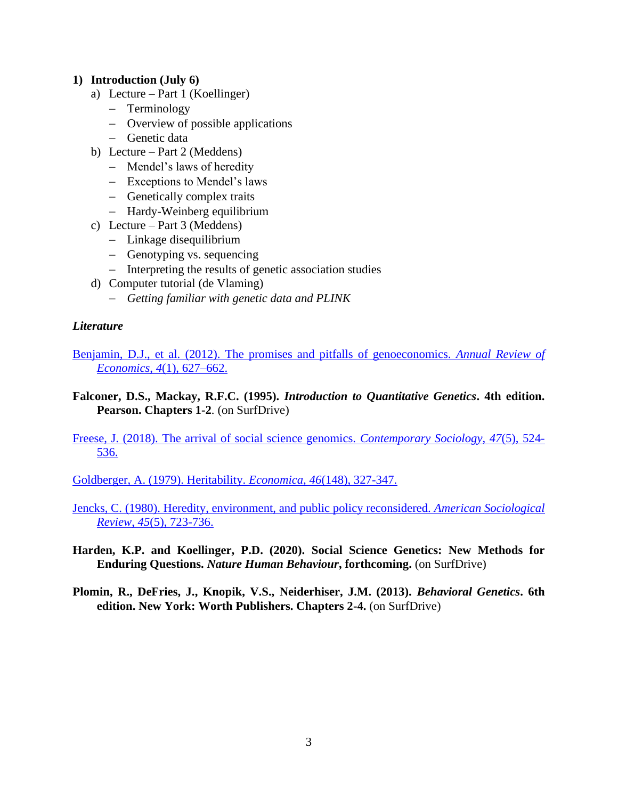#### **1) Introduction (July 6)**

- a) Lecture Part 1 (Koellinger)
	- − Terminology
	- − Overview of possible applications
	- − Genetic data
- b) Lecture Part 2 (Meddens)
	- − Mendel's laws of heredity
	- − Exceptions to Mendel's laws
	- − Genetically complex traits
	- − Hardy-Weinberg equilibrium
- c) Lecture Part 3 (Meddens)
	- − Linkage disequilibrium
	- − Genotyping vs. sequencing
	- − Interpreting the results of genetic association studies
- d) Computer tutorial (de Vlaming)
	- − *Getting familiar with genetic data and PLINK*

#### *Literature*

[Benjamin, D.J., et al. \(2012\). The promises and pitfalls of genoeconomics.](https://www.ncbi.nlm.nih.gov/pmc/articles/PMC3592970/) *Annual Review of Economics*, *4*[\(1\), 627–662.](https://www.ncbi.nlm.nih.gov/pmc/articles/PMC3592970/)

**Falconer, D.S., Mackay, R.F.C. (1995).** *Introduction to Quantitative Genetics***. 4th edition. Pearson. Chapters 1-2**. (on SurfDrive)

[Freese, J. \(2018\). The arrival of social science genomics.](http://journals.sagepub.com/doi/full/10.1177/0094306118792214a) *Contemporary Sociology*, *47*(5), 524- [536.](http://journals.sagepub.com/doi/full/10.1177/0094306118792214a)

[Goldberger, A. \(1979\). Heritability.](https://www.jstor.org/stable/2553675?seq=1#page_scan_tab_contents) *Economica*, *46*(148), 327-347.

[Jencks, C. \(1980\). Heredity, environment, and public policy reconsidered.](https://www.jstor.org/stable/2094892?seq=1#page_scan_tab_contents) *American Sociological Review*, *45*[\(5\), 723-736.](https://www.jstor.org/stable/2094892?seq=1#page_scan_tab_contents)

- **Harden, K.P. and Koellinger, P.D. (2020). Social Science Genetics: New Methods for Enduring Questions.** *Nature Human Behaviour***, forthcoming.** (on SurfDrive)
- **Plomin, R., DeFries, J., Knopik, V.S., Neiderhiser, J.M. (2013).** *Behavioral Genetics***. 6th edition. New York: Worth Publishers. Chapters 2-4.** (on SurfDrive)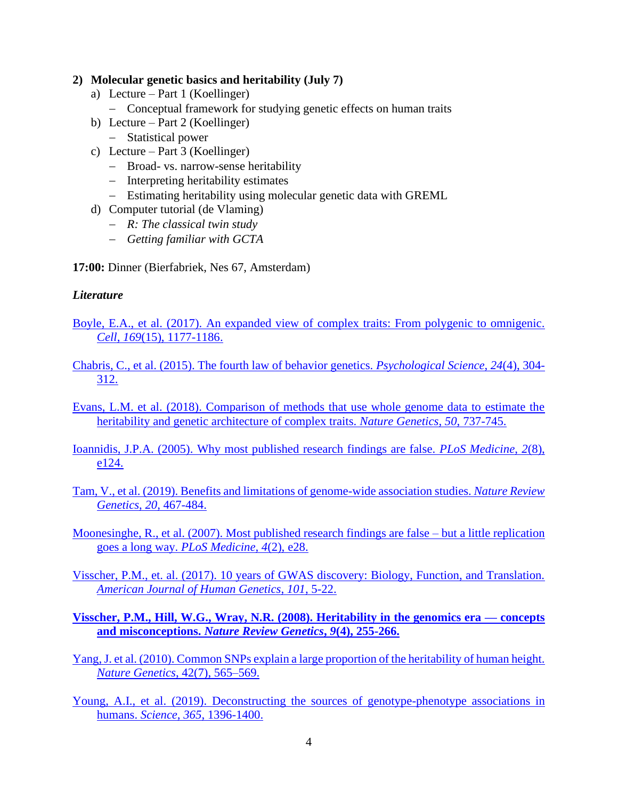#### **2) Molecular genetic basics and heritability (July 7)**

- a) Lecture Part 1 (Koellinger)
	- − Conceptual framework for studying genetic effects on human traits
- b) Lecture Part 2 (Koellinger)
	- − Statistical power
- c) Lecture Part 3 (Koellinger)
	- − Broad- vs. narrow-sense heritability
	- − Interpreting heritability estimates
	- − Estimating heritability using molecular genetic data with GREML
- d) Computer tutorial (de Vlaming)
	- − *R: The classical twin study*
	- − *Getting familiar with GCTA*

**17:00:** Dinner (Bierfabriek, Nes 67, Amsterdam)

#### *Literature*

[Boyle, E.A., et al. \(2017\). An expanded view of complex traits: From polygenic to omnigenic.](https://doi.org/10.1016/j.cell.2017.05.038)  *Cell*, *169*[\(15\), 1177-1186.](https://doi.org/10.1016/j.cell.2017.05.038)

- [Chabris, C., et al. \(2015\). The fourth law of behavior genetics.](https://www.ncbi.nlm.nih.gov/pmc/articles/PMC4635473/) *Psychological Science*, *24*(4), 304- [312.](https://www.ncbi.nlm.nih.gov/pmc/articles/PMC4635473/)
- [Evans, L.M. et al. \(2018\). Comparison of methods that use whole genome data to estimate the](https://doi.org/10.1038/s41588-018-0108-x)  [heritability and genetic architecture of complex traits.](https://doi.org/10.1038/s41588-018-0108-x) *Nature Genetics*, *50*, 737-745.

[Ioannidis, J.P.A. \(2005\). Why most published research findings are false.](http://journals.plos.org/plosmedicine/article?id=10.1371/journal.pmed.0020124) *PLoS Medicine*, *2*(8), [e124.](http://journals.plos.org/plosmedicine/article?id=10.1371/journal.pmed.0020124)

Tam, V., et al. (2019). Benefits and limitations of genome-wide association studies. *Nature Review Genetics*, *20*, 467-484.

[Moonesinghe, R., et al. \(2007\). Most published research findings are false –](http://journals.plos.org/plosmedicine/article?id=10.1371/journal.pmed.0040028) but a little replication goes a long way. *[PLoS Medicine, 4](http://journals.plos.org/plosmedicine/article?id=10.1371/journal.pmed.0040028)*(2), e28.

[Visscher, P.M., et. al. \(2017\). 10 years of GWAS discovery: Biology, Function, and Translation.](http://europepmc.org/backend/ptpmcrender.fcgi?accid=PMC5501872&blobtype=pdf)  *[American Journal of Human Genetics](http://europepmc.org/backend/ptpmcrender.fcgi?accid=PMC5501872&blobtype=pdf)*, *101*, 5-22.

- **[Visscher, P.M., Hill, W.G., Wray, N.R. \(2008\). Heritability in the genomics era —](https://www.nature.com/articles/nrg2322) concepts and misconceptions.** *[Nature Review Genetics](https://www.nature.com/articles/nrg2322)***,** *9***(4), 255-266.**
- [Yang, J. et al. \(2010\). Common SNPs explain a large proportion of the heritability of human height.](http://europepmc.org/articles/pmc3232052)  *Nature Genetics*[, 42\(7\), 565–569.](http://europepmc.org/articles/pmc3232052)
- Young, A.I., et al. (2019). [Deconstructing the sources of genotype-phenotype associations in](https://science.sciencemag.org/content/365/6460/1396.abstract)  [humans.](https://science.sciencemag.org/content/365/6460/1396.abstract) *Science*, *365*, 1396-1400.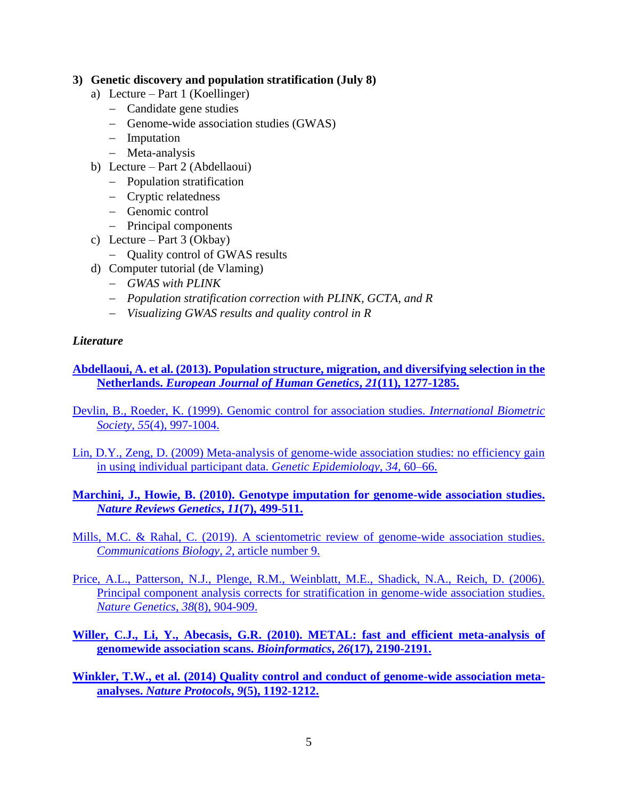#### **3) Genetic discovery and population stratification (July 8)**

- a) Lecture Part 1 (Koellinger)
	- − Candidate gene studies
	- − Genome-wide association studies (GWAS)
	- − Imputation
	- − Meta-analysis
- b) Lecture Part 2 (Abdellaoui)
	- − Population stratification
	- − Cryptic relatedness
	- − Genomic control
	- − Principal components
- c) Lecture Part  $3$  (Okbay)
	- − Quality control of GWAS results
- d) Computer tutorial (de Vlaming)
	- − *GWAS with PLINK*
	- − *Population stratification correction with PLINK, GCTA, and R*
	- − *Visualizing GWAS results and quality control in R*

#### *Literature*

**[Abdellaoui, A. et al. \(2013\). Population structure, migration, and diversifying selection in the](http://europepmc.org/articles/pmc3798851)  Netherlands.** *[European Journal of Human Genetics](http://europepmc.org/articles/pmc3798851)***,** *21***(11), 1277-1285.**

[Devlin, B., Roeder, K. \(1999\). Genomic control for association studies.](http://svn.donarmstrong.com/don/trunk/projects/research/linkage/papers/genomic_control_of_association_studies_devlin_roeder_biometrics_55_4_997_1999_pmid_11315092.pdf) *International Biometric Society*, *55*[\(4\), 997-1004.](http://svn.donarmstrong.com/don/trunk/projects/research/linkage/papers/genomic_control_of_association_studies_devlin_roeder_biometrics_55_4_997_1999_pmid_11315092.pdf)

- Lin, D.Y., [Zeng, D. \(2009\) Meta-analysis of genome-wide association studies: no efficiency gain](http://europepmc.org/articles/pmc3878085)  [in using individual participant data.](http://europepmc.org/articles/pmc3878085) *Genetic Epidemiology*, *34*, 60–66.
- **[Marchini, J., Howie, B. \(2010\). Genotype imputation for genome-wide association studies.](https://www.nature.com/articles/nrg2796)**  *[Nature Reviews Genetics](https://www.nature.com/articles/nrg2796)***,** *11***(7), 499-511.**

[Mills, M.C. & Rahal, C. \(2019\). A scientometric review of genome-wide association studies.](https://www.nature.com/articles/s42003-018-0261-x) *[Communications Biology](https://www.nature.com/articles/s42003-018-0261-x)*, *2*, article number 9.

- [Price, A.L., Patterson, N.J., Plenge, R.M., Weinblatt, M.E., Shadick, N.A., Reich, D. \(2006\).](https://reich.hms.harvard.edu/sites/reich.hms.harvard.edu/files/inline-files/Price%20et%20al.pdf)  [Principal component analysis corrects for stratification in genome-wide association studies.](https://reich.hms.harvard.edu/sites/reich.hms.harvard.edu/files/inline-files/Price%20et%20al.pdf)  *[Nature Genetics](https://reich.hms.harvard.edu/sites/reich.hms.harvard.edu/files/inline-files/Price%20et%20al.pdf)*, *38*(8), 904-909.
- **[Willer, C.J., Li, Y., Abecasis, G.R. \(2010\). METAL: fast and efficient meta-analysis of](https://academic.oup.com/bioinformatics/article/26/17/2190/198154)  [genomewide association scans.](https://academic.oup.com/bioinformatics/article/26/17/2190/198154)** *Bioinformatics***,** *26***(17), 2190-2191.**

**Winkler, T.W., et al. [\(2014\) Quality control and conduct of genome-wide association meta](https://genepi.qimr.edu.au/contents/p/staff/Winkler_NatProtoc_1192-1212.pdf)analyses.** *[Nature Protocols](https://genepi.qimr.edu.au/contents/p/staff/Winkler_NatProtoc_1192-1212.pdf)***,** *9***(5), 1192-1212.**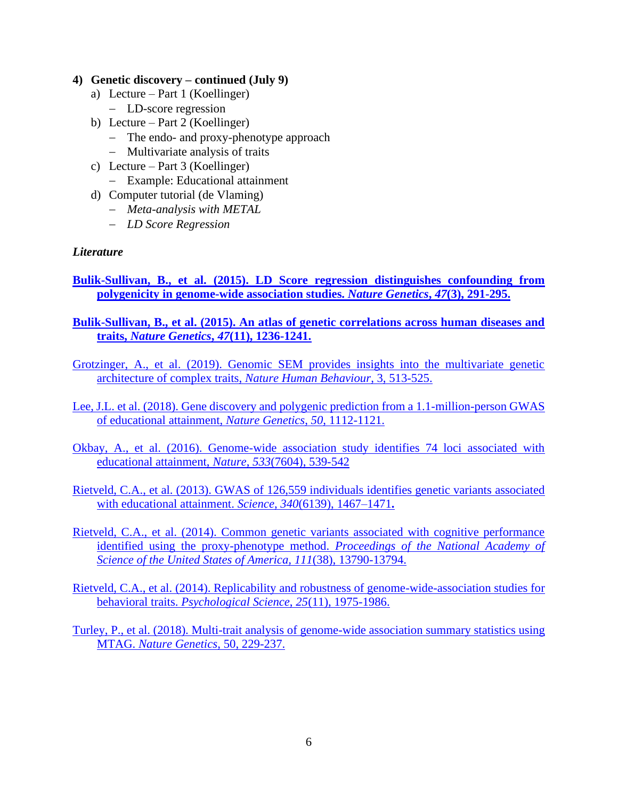#### **4) Genetic discovery – continued (July 9)**

- a) Lecture Part 1 (Koellinger)
	- − LD-score regression
- b) Lecture Part 2 (Koellinger)
	- − The endo- and proxy-phenotype approach
	- − Multivariate analysis of traits
- c) Lecture Part 3 (Koellinger)
	- − Example: Educational attainment
- d) Computer tutorial (de Vlaming)
	- − *Meta-analysis with METAL*
	- − *LD Score Regression*

#### *Literature*

**Bulik-Sullivan, B., [et al. \(2015\). LD Score regression distinguishes confounding from](https://www.ncbi.nlm.nih.gov/pmc/articles/PMC4495769/)  [polygenicity in genome-wide association studies.](https://www.ncbi.nlm.nih.gov/pmc/articles/PMC4495769/)** *Nature Genetics***,** *47***(3), 291-295.**

**Bulik-Sullivan, B., [et al. \(2015\). An atlas of genetic correlations across human diseases and](https://cgm.massgeneral.org/wp-content/uploads/2017/01/Bulik-Sullivan-et-al-2015-An-atlas.pdf)  traits,** *Nature Genetics***,** *47***[\(11\), 1236-1241.](https://cgm.massgeneral.org/wp-content/uploads/2017/01/Bulik-Sullivan-et-al-2015-An-atlas.pdf)**

[Grotzinger, A., et al. \(2019\). Genomic SEM provides insights into the multivariate genetic](https://www.biorxiv.org/content/10.1101/305029v1.abstract)  [architecture of complex traits,](https://www.biorxiv.org/content/10.1101/305029v1.abstract) *Nature Human Behaviour*, 3, 513-525.

[Lee, J.L. et al. \(2018\). Gene discovery and polygenic prediction from a 1.1-million-person GWAS](https://doi.org/10.1038/s41588-018-0147-3)  [of educational attainment,](https://doi.org/10.1038/s41588-018-0147-3) *Nature Genetics*, *50*, 1112-1121.

Okbay, A., et al. [\(2016\). Genome-wide association study identifies 74 loci associated with](http://europepmc.org/articles/pmc4883595)  [educational attainment,](http://europepmc.org/articles/pmc4883595) *Nature*, *533*(7604), 539-542

Rietveld, C.A., et al. [\(2013\). GWAS of 126,559 individuals identifies genetic variants associated](http://www.twinsuk.ac.uk/wp-content/uploads/2013/10/Science-2013-Rietveld-edu-attainment.pdf)  [with educational attainment.](http://www.twinsuk.ac.uk/wp-content/uploads/2013/10/Science-2013-Rietveld-edu-attainment.pdf) *Science*, *340*(6139), 1467–1471**.**

Rietveld, C.A., et al. [\(2014\). Common genetic variants associated with cognitive performance](http://www.pnas.org/content/111/38/13790.long)  [identified using the proxy-phenotype method.](http://www.pnas.org/content/111/38/13790.long) *Proceedings of the National Academy of [Science of the United States of America, 111](http://www.pnas.org/content/111/38/13790.long)*(38), 13790-13794.

[Rietveld, C.A., et al. \(2014\). Replicability and robustness of genome-wide-association studies for](http://journals.sagepub.com/doi/full/10.1177/0956797614545132)  behavioral traits. *[Psychological Science](http://journals.sagepub.com/doi/full/10.1177/0956797614545132)*, *25*(11), 1975-1986.

[Turley, P., et al. \(2018\). Multi-trait analysis of genome-wide association summary statistics using](https://europepmc.org/articles/pmc5805593)  MTAG. *[Nature Genetics](https://europepmc.org/articles/pmc5805593)*, 50, 229-237.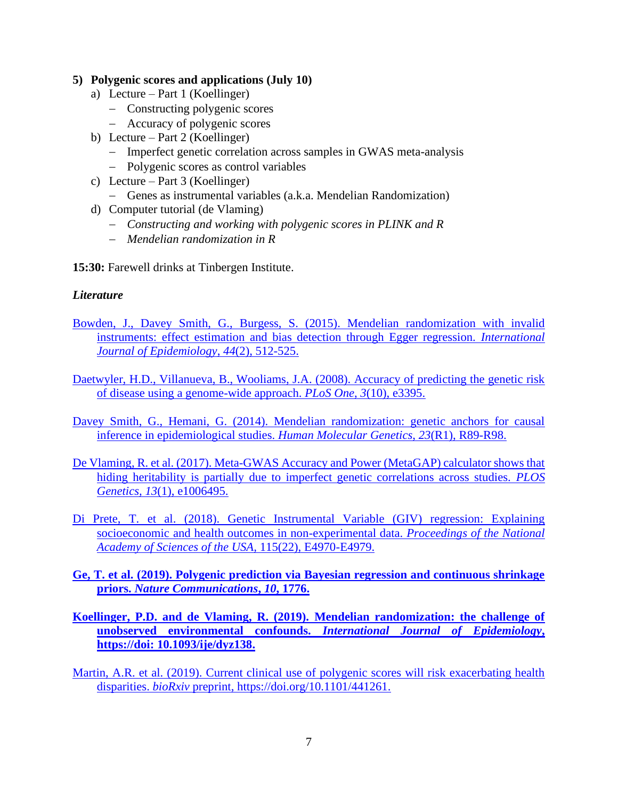#### **5) Polygenic scores and applications (July 10)**

- a) Lecture Part 1 (Koellinger)
	- − Constructing polygenic scores
	- − Accuracy of polygenic scores
- b) Lecture Part 2 (Koellinger)
	- − Imperfect genetic correlation across samples in GWAS meta-analysis
	- − Polygenic scores as control variables
- c) Lecture Part 3 (Koellinger)
	- − Genes as instrumental variables (a.k.a. Mendelian Randomization)
- d) Computer tutorial (de Vlaming)
	- − *Constructing and working with polygenic scores in PLINK and R*
	- − *Mendelian randomization in R*

**15:30:** Farewell drinks at Tinbergen Institute.

#### *Literature*

- Bowden, J., Davey Smith, G., [Burgess, S. \(2015\). Mendelian randomization with invalid](https://academic.oup.com/ije/article/44/2/512/754653)  [instruments: effect estimation and bias detection through Egger regression.](https://academic.oup.com/ije/article/44/2/512/754653) *International [Journal of Epidemiology](https://academic.oup.com/ije/article/44/2/512/754653)*, *44*(2), 512-525.
- [Daetwyler, H.D., Villanueva, B., Wooliams, J.A. \(2008\). Accuracy of predicting the genetic risk](http://journals.plos.org/plosone/article?id=10.1371/journal.pone.0003395)  [of disease using a genome-wide approach.](http://journals.plos.org/plosone/article?id=10.1371/journal.pone.0003395) *PLoS One*, *3*(10), e3395.
- Davey Smith, G., Hemani, G. (2014). Mendelian randomization: genetic anchors for causal [inference in epidemiological studies.](https://academic.oup.com/hmg/article/23/R1/R89/2900899) *Human Molecular Genetics*, *23*(R1), R89-R98.
- [De Vlaming, R. et al. \(2017\). Meta-GWAS Accuracy and Power \(MetaGAP\) calculator shows that](http://journals.plos.org/plosgenetics/article?id=10.1371/journal.pgen.1006495)  [hiding heritability is partially due to imperfect genetic correlations across studies.](http://journals.plos.org/plosgenetics/article?id=10.1371/journal.pgen.1006495) *PLOS Genetics, 13*[\(1\), e1006495.](http://journals.plos.org/plosgenetics/article?id=10.1371/journal.pgen.1006495)
- [Di Prete, T. et al. \(2018\). Genetic Instrumental Variable \(GIV\) regression: Explaining](https://doi.org/10.1073/pnas.1707388115)  [socioeconomic and health outcomes in non-experimental data.](https://doi.org/10.1073/pnas.1707388115) *Proceedings of the National [Academy of Sciences of the USA,](https://doi.org/10.1073/pnas.1707388115)* 115(22), E4970-E4979.
- **[Ge, T. et al. \(2019\). Polygenic prediction via Bayesian regression and continuous shrinkage](https://www.nature.com/articles/s41467-019-09718-5)  priors.** *[Nature Communications](https://www.nature.com/articles/s41467-019-09718-5)***,** *10***, 1776.**
- **[Koellinger, P.D. and de Vlaming, R. \(2019\). Mendelian randomization: the challenge of](https://academic.oup.com/ije/advance-article/doi/10.1093/ije/dyz138/5526895)  unobserved environmental confounds.** *[International Journal of Epidemiology](https://academic.oup.com/ije/advance-article/doi/10.1093/ije/dyz138/5526895)***, [https://doi: 10.1093/ije/dyz138.](https://academic.oup.com/ije/advance-article/doi/10.1093/ije/dyz138/5526895)**

[Martin, A.R. et al. \(2019\). Current clinical use of polygenic scores will risk exacerbating health](file:///C:/Users/Philipp%20Koellinger/Dropbox/Summer%20school%20genome-wide%20data%20analysis/2019/Martin,%20A.R.%20et%20al.%20(2019).%20Current%20clinical%20use%20of%20polygenic%20scores%20will%20risk%20exacerbating%20health%20disparities.%20bioRxiv%20preprint,%20https:/doi.org/10.1101/441261)  disparities. *bioRxiv* [preprint, https://doi.org/10.1101/441261.](file:///C:/Users/Philipp%20Koellinger/Dropbox/Summer%20school%20genome-wide%20data%20analysis/2019/Martin,%20A.R.%20et%20al.%20(2019).%20Current%20clinical%20use%20of%20polygenic%20scores%20will%20risk%20exacerbating%20health%20disparities.%20bioRxiv%20preprint,%20https:/doi.org/10.1101/441261)